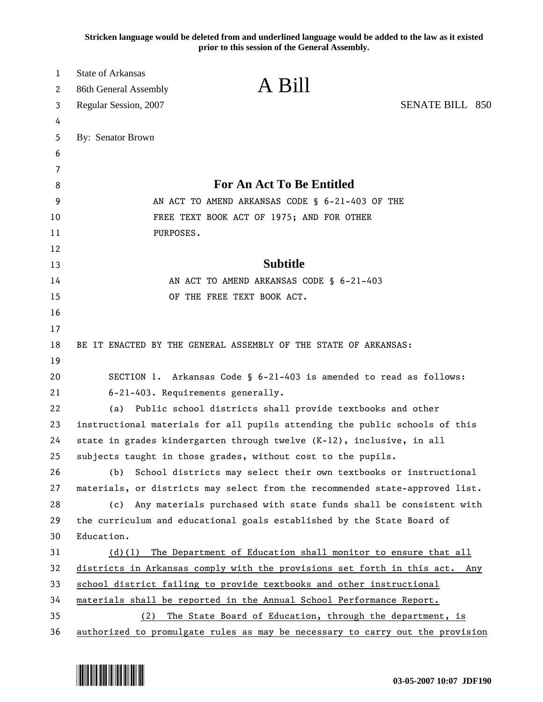**Stricken language would be deleted from and underlined language would be added to the law as it existed prior to this session of the General Assembly.**

| 1        | <b>State of Arkansas</b><br>A Bill                                            |  |
|----------|-------------------------------------------------------------------------------|--|
| 2        | 86th General Assembly                                                         |  |
| 3        | <b>SENATE BILL 850</b><br>Regular Session, 2007                               |  |
| 4        |                                                                               |  |
| 5        | By: Senator Brown                                                             |  |
| 6        |                                                                               |  |
| 7        | <b>For An Act To Be Entitled</b>                                              |  |
| 8        |                                                                               |  |
| 9        | AN ACT TO AMEND ARKANSAS CODE § 6-21-403 OF THE                               |  |
| 10       | FREE TEXT BOOK ACT OF 1975; AND FOR OTHER                                     |  |
| 11<br>12 | PURPOSES.                                                                     |  |
| 13       | <b>Subtitle</b>                                                               |  |
| 14       | AN ACT TO AMEND ARKANSAS CODE § 6-21-403                                      |  |
| 15       | OF THE FREE TEXT BOOK ACT.                                                    |  |
| 16       |                                                                               |  |
| 17       |                                                                               |  |
| 18       | BE IT ENACTED BY THE GENERAL ASSEMBLY OF THE STATE OF ARKANSAS:               |  |
| 19       |                                                                               |  |
| 20       | SECTION 1. Arkansas Code § 6-21-403 is amended to read as follows:            |  |
| 21       | 6-21-403. Requirements generally.                                             |  |
| 22       | Public school districts shall provide textbooks and other<br>(a)              |  |
| 23       | instructional materials for all pupils attending the public schools of this   |  |
| 24       | state in grades kindergarten through twelve (K-12), inclusive, in all         |  |
| 25       | subjects taught in those grades, without cost to the pupils.                  |  |
| 26       | School districts may select their own textbooks or instructional<br>(b)       |  |
| 27       | materials, or districts may select from the recommended state-approved list.  |  |
| 28       | Any materials purchased with state funds shall be consistent with<br>(c)      |  |
| 29       | the curriculum and educational goals established by the State Board of        |  |
| 30       | Education.                                                                    |  |
| 31       | The Department of Education shall monitor to ensure that all<br>$(d)$ (1)     |  |
| 32       | districts in Arkansas comply with the provisions set forth in this act. Any   |  |
| 33       | school district failing to provide textbooks and other instructional          |  |
| 34       | materials shall be reported in the Annual School Performance Report.          |  |
| 35       | The State Board of Education, through the department, is<br>(2)               |  |
| 36       | authorized to promulgate rules as may be necessary to carry out the provision |  |